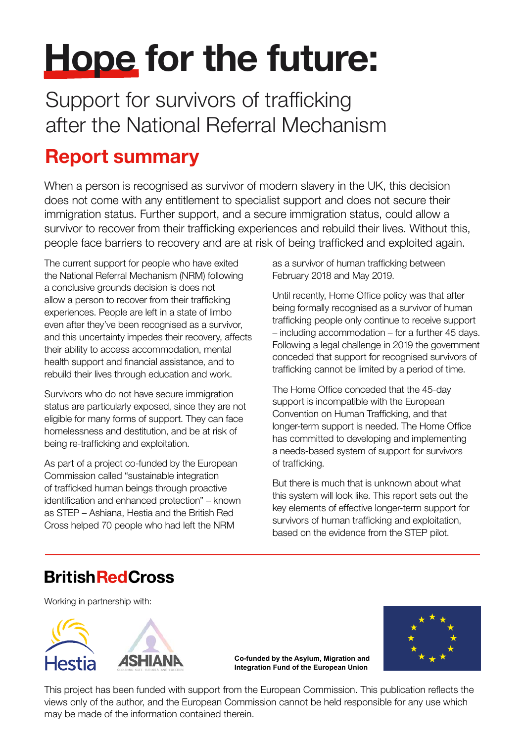# Hope for the future:

Support for survivors of trafficking after the National Referral Mechanism

## Report summary

When a person is recognised as survivor of modern slavery in the UK, this decision does not come with any entitlement to specialist support and does not secure their immigration status. Further support, and a secure immigration status, could allow a survivor to recover from their trafficking experiences and rebuild their lives. Without this, people face barriers to recovery and are at risk of being trafficked and exploited again.

The current support for people who have exited the National Referral Mechanism (NRM) following a conclusive grounds decision is does not allow a person to recover from their trafficking experiences. People are left in a state of limbo even after they've been recognised as a survivor, and this uncertainty impedes their recovery, affects their ability to access accommodation, mental health support and financial assistance, and to rebuild their lives through education and work.

Survivors who do not have secure immigration status are particularly exposed, since they are not eligible for many forms of support. They can face homelessness and destitution, and be at risk of being re-trafficking and exploitation.

As part of a project co-funded by the European Commission called "sustainable integration of trafficked human beings through proactive identification and enhanced protection" – known as STEP – Ashiana, Hestia and the British Red Cross helped 70 people who had left the NRM

as a survivor of human trafficking between February 2018 and May 2019.

Until recently, Home Office policy was that after being formally recognised as a survivor of human trafficking people only continue to receive support – including accommodation – for a further 45 days. Following a legal challenge in 2019 the government conceded that support for recognised survivors of trafficking cannot be limited by a period of time.

The Home Office conceded that the 45-day support is incompatible with the European Convention on Human Trafficking, and that longer-term support is needed. The Home Office has committed to developing and implementing a needs-based system of support for survivors of trafficking.

But there is much that is unknown about what this system will look like. This report sets out the key elements of effective longer-term support for survivors of human trafficking and exploitation, based on the evidence from the STEP pilot.

## **British Red Cross**

Working in partnership with:





**Co-funded by the Asylum, Migration and Integration Fund of the European Union**

This project has been funded with support from the European Commission. This publication reflects the views only of the author, and the European Commission cannot be held responsible for any use which may be made of the information contained therein.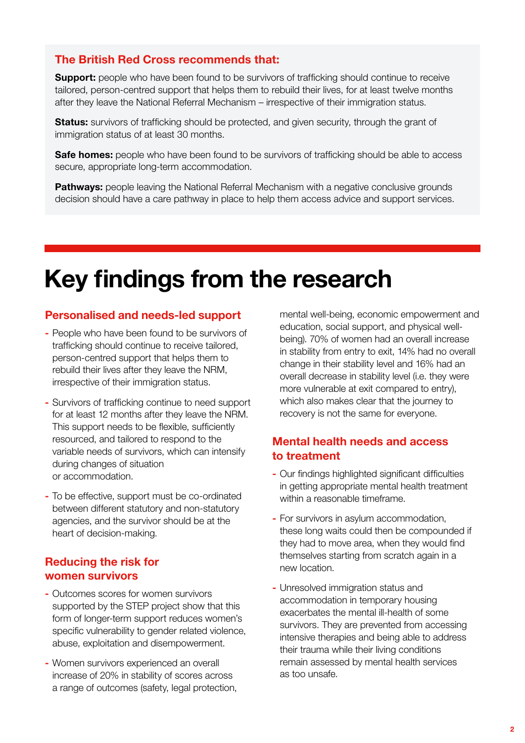#### The British Red Cross recommends that:

**Support:** people who have been found to be survivors of trafficking should continue to receive tailored, person-centred support that helps them to rebuild their lives, for at least twelve months after they leave the National Referral Mechanism – irrespective of their immigration status.

**Status:** survivors of trafficking should be protected, and given security, through the grant of immigration status of at least 30 months.

Safe homes: people who have been found to be survivors of trafficking should be able to access secure, appropriate long-term accommodation.

Pathways: people leaving the National Referral Mechanism with a negative conclusive grounds decision should have a care pathway in place to help them access advice and support services.

## Key findings from the research

#### Personalised and needs-led support

- People who have been found to be survivors of trafficking should continue to receive tailored, person-centred support that helps them to rebuild their lives after they leave the NRM, irrespective of their immigration status.
- Survivors of trafficking continue to need support for at least 12 months after they leave the NRM. This support needs to be flexible, sufficiently resourced, and tailored to respond to the variable needs of survivors, which can intensify during changes of situation or accommodation.
- To be effective, support must be co-ordinated between different statutory and non-statutory agencies, and the survivor should be at the heart of decision-making.

#### Reducing the risk for women survivors

- Outcomes scores for women survivors supported by the STEP project show that this form of longer-term support reduces women's specific vulnerability to gender related violence, abuse, exploitation and disempowerment.
- Women survivors experienced an overall increase of 20% in stability of scores across a range of outcomes (safety, legal protection,

mental well-being, economic empowerment and education, social support, and physical wellbeing). 70% of women had an overall increase in stability from entry to exit, 14% had no overall change in their stability level and 16% had an overall decrease in stability level (i.e. they were more vulnerable at exit compared to entry), which also makes clear that the journey to recovery is not the same for everyone.

#### Mental health needs and access to treatment

- Our findings highlighted significant difficulties in getting appropriate mental health treatment within a reasonable timeframe.
- For survivors in asylum accommodation, these long waits could then be compounded if they had to move area, when they would find themselves starting from scratch again in a new location.
- Unresolved immigration status and accommodation in temporary housing exacerbates the mental ill-health of some survivors. They are prevented from accessing intensive therapies and being able to address their trauma while their living conditions remain assessed by mental health services as too unsafe.